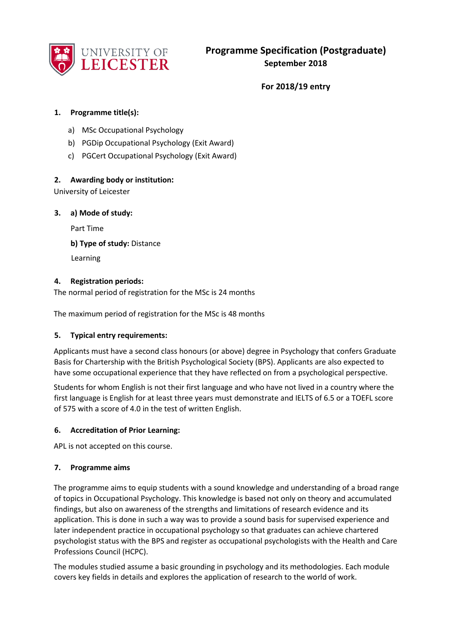

**For 2018/19 entry** 

## **1. Programme title(s):**

- a) MSc Occupational Psychology
- b) PGDip Occupational Psychology (Exit Award)
- c) PGCert Occupational Psychology (Exit Award)

## **2. Awarding body or institution:**

University of Leicester

**3. a) Mode of study:** 

Part Time

**b) Type of study:** Distance

Learning

## **4. Registration periods:**

The normal period of registration for the MSc is 24 months

The maximum period of registration for the MSc is 48 months

### **5. Typical entry requirements:**

Applicants must have a second class honours (or above) degree in Psychology that confers Graduate Basis for Chartership with the British Psychological Society (BPS). Applicants are also expected to have some occupational experience that they have reflected on from a psychological perspective.

Students for whom English is not their first language and who have not lived in a country where the first language is English for at least three years must demonstrate and IELTS of 6.5 or a TOEFL score of 575 with a score of 4.0 in the test of written English.

### **6. Accreditation of Prior Learning:**

APL is not accepted on this course.

### **7. Programme aims**

The programme aims to equip students with a sound knowledge and understanding of a broad range of topics in Occupational Psychology. This knowledge is based not only on theory and accumulated findings, but also on awareness of the strengths and limitations of research evidence and its application. This is done in such a way was to provide a sound basis for supervised experience and later independent practice in occupational psychology so that graduates can achieve chartered psychologist status with the BPS and register as occupational psychologists with the Health and Care Professions Council (HCPC).

The modules studied assume a basic grounding in psychology and its methodologies. Each module covers key fields in details and explores the application of research to the world of work.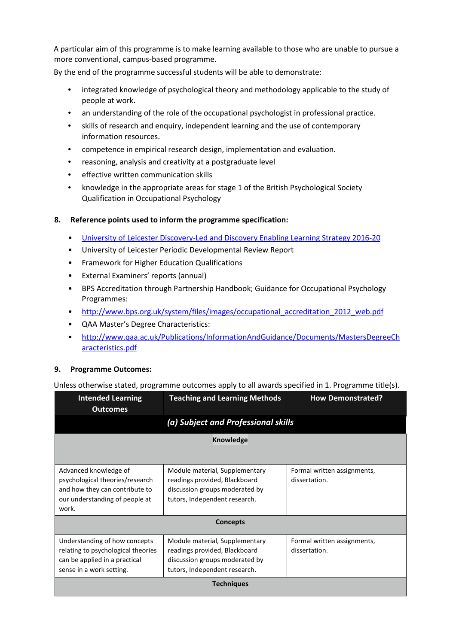A particular aim of this programme is to make learning available to those who are unable to pursue a more conventional, campus-based programme.

By the end of the programme successful students will be able to demonstrate:

- integrated knowledge of psychological theory and methodology applicable to the study of people at work.
- an understanding of the role of the occupational psychologist in professional practice.
- skills of research and enquiry, independent learning and the use of contemporary information resources.
- competence in empirical research design, implementation and evaluation.
- reasoning, analysis and creativity at a postgraduate level
- effective written communication skills
- knowledge in the appropriate areas for stage 1 of the British Psychological Society Qualification in Occupational Psychology

# **8. Reference points used to inform the programme specification:**

- [University of Leicester Discovery-Led and Discovery Enabling Learning Strategy 2016-20](http://www2.le.ac.uk/offices/sas2/quality/learnteach)
- University of Leicester Periodic Developmental Review Report
- Framework for Higher Education Qualifications
- External Examiners' reports (annual)
- BPS Accreditation through Partnership Handbook; Guidance for Occupational Psychology Programmes:
- [http://www.bps.org.uk/system/files/images/occupational\\_accreditation\\_2012\\_web.pdf](http://www.bps.org.uk/system/files/images/occupational_accreditation_2012_web.pdf)
- QAA Master's Degree Characteristics:
- [http://www.qaa.ac.uk/Publications/InformationAndGuidance/Documents/MastersDegreeCh](http://www.qaa.ac.uk/Publications/InformationAndGuidance/Documents/MastersDegreeCharacteristics.pdf)  [aracteristics.pdf](http://www.qaa.ac.uk/Publications/InformationAndGuidance/Documents/MastersDegreeCharacteristics.pdf)

# **9. Programme Outcomes:**

Unless otherwise stated, programme outcomes apply to all awards specified in 1. Programme title(s).

| <b>Intended Learning</b><br><b>Outcomes</b>                                                                                           | <b>Teaching and Learning Methods</b>                                                                                               | <b>How Demonstrated?</b>                     |  |
|---------------------------------------------------------------------------------------------------------------------------------------|------------------------------------------------------------------------------------------------------------------------------------|----------------------------------------------|--|
|                                                                                                                                       | (a) Subject and Professional skills                                                                                                |                                              |  |
| <b>Knowledge</b>                                                                                                                      |                                                                                                                                    |                                              |  |
|                                                                                                                                       |                                                                                                                                    |                                              |  |
| Advanced knowledge of<br>psychological theories/research<br>and how they can contribute to<br>our understanding of people at<br>work. | Module material, Supplementary<br>readings provided, Blackboard<br>discussion groups moderated by<br>tutors, Independent research. | Formal written assignments,<br>dissertation. |  |
| <b>Concepts</b>                                                                                                                       |                                                                                                                                    |                                              |  |
| Understanding of how concepts<br>relating to psychological theories<br>can be applied in a practical<br>sense in a work setting.      | Module material, Supplementary<br>readings provided, Blackboard<br>discussion groups moderated by<br>tutors, Independent research. | Formal written assignments,<br>dissertation. |  |
| <b>Techniques</b>                                                                                                                     |                                                                                                                                    |                                              |  |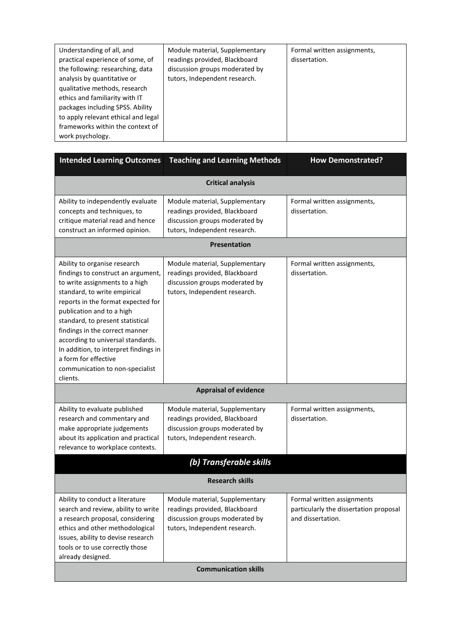| Understanding of all, and<br>Module material, Supplementary<br>Formal written assignments,<br>practical experience of some, of<br>readings provided, Blackboard<br>dissertation.<br>the following: researching, data<br>discussion groups moderated by<br>tutors, Independent research.<br>analysis by quantitative or<br>qualitative methods, research<br>ethics and familiarity with IT<br>packages including SPSS. Ability<br>to apply relevant ethical and legal<br>frameworks within the context of<br>work psychology. |  |
|------------------------------------------------------------------------------------------------------------------------------------------------------------------------------------------------------------------------------------------------------------------------------------------------------------------------------------------------------------------------------------------------------------------------------------------------------------------------------------------------------------------------------|--|
|------------------------------------------------------------------------------------------------------------------------------------------------------------------------------------------------------------------------------------------------------------------------------------------------------------------------------------------------------------------------------------------------------------------------------------------------------------------------------------------------------------------------------|--|

| <b>Intended Learning Outcomes</b>                                                                                                                                                                                                                                                                                                                                                                                                  | <b>Teaching and Learning Methods</b>                                                                                               | <b>How Demonstrated?</b>                                                                  |  |
|------------------------------------------------------------------------------------------------------------------------------------------------------------------------------------------------------------------------------------------------------------------------------------------------------------------------------------------------------------------------------------------------------------------------------------|------------------------------------------------------------------------------------------------------------------------------------|-------------------------------------------------------------------------------------------|--|
| <b>Critical analysis</b>                                                                                                                                                                                                                                                                                                                                                                                                           |                                                                                                                                    |                                                                                           |  |
| Ability to independently evaluate<br>concepts and techniques, to<br>critique material read and hence<br>construct an informed opinion.                                                                                                                                                                                                                                                                                             | Module material, Supplementary<br>readings provided, Blackboard<br>discussion groups moderated by<br>tutors, Independent research. | Formal written assignments,<br>dissertation.                                              |  |
|                                                                                                                                                                                                                                                                                                                                                                                                                                    | <b>Presentation</b>                                                                                                                |                                                                                           |  |
| Ability to organise research<br>findings to construct an argument,<br>to write assignments to a high<br>standard, to write empirical<br>reports in the format expected for<br>publication and to a high<br>standard, to present statistical<br>findings in the correct manner<br>according to universal standards.<br>In addition, to interpret findings in<br>a form for effective<br>communication to non-specialist<br>clients. | Module material, Supplementary<br>readings provided, Blackboard<br>discussion groups moderated by<br>tutors, Independent research. | Formal written assignments,<br>dissertation.                                              |  |
| <b>Appraisal of evidence</b>                                                                                                                                                                                                                                                                                                                                                                                                       |                                                                                                                                    |                                                                                           |  |
| Ability to evaluate published<br>research and commentary and<br>make appropriate judgements<br>about its application and practical<br>relevance to workplace contexts.                                                                                                                                                                                                                                                             | Module material, Supplementary<br>readings provided, Blackboard<br>discussion groups moderated by<br>tutors, Independent research. | Formal written assignments,<br>dissertation.                                              |  |
|                                                                                                                                                                                                                                                                                                                                                                                                                                    | (b) Transferable skills                                                                                                            |                                                                                           |  |
| <b>Research skills</b>                                                                                                                                                                                                                                                                                                                                                                                                             |                                                                                                                                    |                                                                                           |  |
| Ability to conduct a literature<br>search and review, ability to write<br>a research proposal, considering<br>ethics and other methodological<br>issues, ability to devise research<br>tools or to use correctly those<br>already designed.                                                                                                                                                                                        | Module material, Supplementary<br>readings provided, Blackboard<br>discussion groups moderated by<br>tutors, Independent research. | Formal written assignments<br>particularly the dissertation proposal<br>and dissertation. |  |
| <b>Communication skills</b>                                                                                                                                                                                                                                                                                                                                                                                                        |                                                                                                                                    |                                                                                           |  |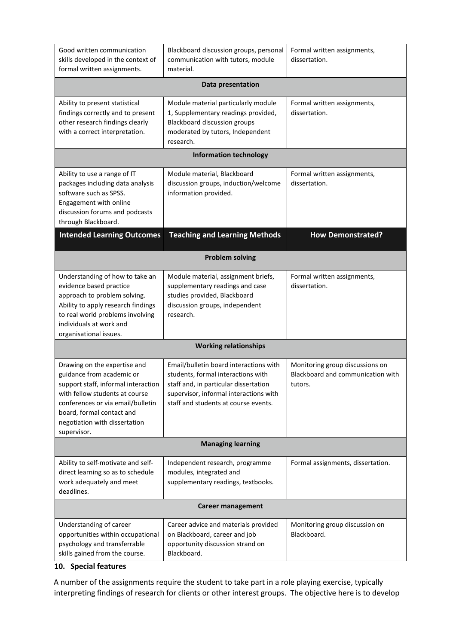| Good written communication<br>skills developed in the context of<br>formal written assignments.                                                                                                                                                      | Blackboard discussion groups, personal<br>communication with tutors, module<br>material.                                                                                                                | Formal written assignments,<br>dissertation.                                    |  |  |
|------------------------------------------------------------------------------------------------------------------------------------------------------------------------------------------------------------------------------------------------------|---------------------------------------------------------------------------------------------------------------------------------------------------------------------------------------------------------|---------------------------------------------------------------------------------|--|--|
|                                                                                                                                                                                                                                                      | Data presentation                                                                                                                                                                                       |                                                                                 |  |  |
| Ability to present statistical<br>findings correctly and to present<br>other research findings clearly<br>with a correct interpretation.                                                                                                             | Module material particularly module<br>1, Supplementary readings provided,<br><b>Blackboard discussion groups</b><br>moderated by tutors, Independent<br>research.                                      | Formal written assignments,<br>dissertation.                                    |  |  |
|                                                                                                                                                                                                                                                      | <b>Information technology</b>                                                                                                                                                                           |                                                                                 |  |  |
| Ability to use a range of IT<br>packages including data analysis<br>software such as SPSS.<br>Engagement with online<br>discussion forums and podcasts<br>through Blackboard.                                                                        | Module material, Blackboard<br>discussion groups, induction/welcome<br>information provided.                                                                                                            | Formal written assignments,<br>dissertation.                                    |  |  |
| <b>Intended Learning Outcomes</b>                                                                                                                                                                                                                    | <b>Teaching and Learning Methods</b>                                                                                                                                                                    | <b>How Demonstrated?</b>                                                        |  |  |
|                                                                                                                                                                                                                                                      | <b>Problem solving</b>                                                                                                                                                                                  |                                                                                 |  |  |
| Understanding of how to take an<br>evidence based practice<br>approach to problem solving.<br>Ability to apply research findings<br>to real world problems involving<br>individuals at work and<br>organisational issues.                            | Module material, assignment briefs,<br>supplementary readings and case<br>studies provided, Blackboard<br>discussion groups, independent<br>research.                                                   | Formal written assignments,<br>dissertation.                                    |  |  |
| <b>Working relationships</b>                                                                                                                                                                                                                         |                                                                                                                                                                                                         |                                                                                 |  |  |
| Drawing on the expertise and<br>guidance from academic or<br>support staff, informal interaction<br>with fellow students at course<br>conferences or via email/bulletin<br>board, formal contact and<br>negotiation with dissertation<br>supervisor. | Email/bulletin board interactions with<br>students, formal interactions with<br>staff and, in particular dissertation<br>supervisor, informal interactions with<br>staff and students at course events. | Monitoring group discussions on<br>Blackboard and communication with<br>tutors. |  |  |
| <b>Managing learning</b>                                                                                                                                                                                                                             |                                                                                                                                                                                                         |                                                                                 |  |  |
| Ability to self-motivate and self-<br>direct learning so as to schedule<br>work adequately and meet<br>deadlines.                                                                                                                                    | Independent research, programme<br>modules, integrated and<br>supplementary readings, textbooks.                                                                                                        | Formal assignments, dissertation.                                               |  |  |
| <b>Career management</b>                                                                                                                                                                                                                             |                                                                                                                                                                                                         |                                                                                 |  |  |
| Understanding of career<br>opportunities within occupational<br>psychology and transferrable<br>skills gained from the course.                                                                                                                       | Career advice and materials provided<br>on Blackboard, career and job<br>opportunity discussion strand on<br>Blackboard.                                                                                | Monitoring group discussion on<br>Blackboard.                                   |  |  |

# **10. Special features**

A number of the assignments require the student to take part in a role playing exercise, typically interpreting findings of research for clients or other interest groups. The objective here is to develop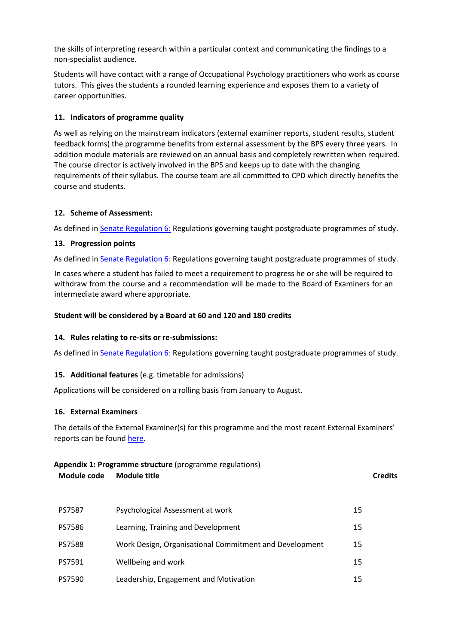the skills of interpreting research within a particular context and communicating the findings to a non-specialist audience.

Students will have contact with a range of Occupational Psychology practitioners who work as course tutors. This gives the students a rounded learning experience and exposes them to a variety of career opportunities.

## **11. Indicators of programme quality**

As well as relying on the mainstream indicators (external examiner reports, student results, student feedback forms) the programme benefits from external assessment by the BPS every three years. In addition module materials are reviewed on an annual basis and completely rewritten when required. The course director is actively involved in the BPS and keeps up to date with the changing requirements of their syllabus. The course team are all committed to CPD which directly benefits the course and students.

### **12. Scheme of Assessment:**

As defined in [Senate Regulation 6:](http://www.le.ac.uk/senate-regulation6) [R](http://www.le.ac.uk/senate-regulation6)egulations governing taught postgraduate programmes of study.

## **13. Progression points**

As defined in [Senate Regulation 6:](http://www.le.ac.uk/senate-regulation6) [R](http://www.le.ac.uk/senate-regulation6)egulations governing taught postgraduate programmes of study.

In cases where a student has failed to meet a requirement to progress he or she will be required to withdraw from the course and a recommendation will be made to the Board of Examiners for an intermediate award where appropriate.

## **Student will be considered by a Board at 60 and 120 and 180 credits**

### **14. Rules relating to re-sits or re-submissions:**

As defined in [Senate Regulation 6:](http://www.le.ac.uk/senate-regulation6) [R](http://www.le.ac.uk/senate-regulation6)egulations governing taught postgraduate programmes of study.

# **15. Additional features** (e.g. timetable for admissions)

Applications will be considered on a rolling basis from January to August.

### **16. External Examiners**

The details of the External Examiner(s) for this programme and the most recent External Examiners' reports can be found [here.](https://www2.le.ac.uk/offices/sas2/courses/documentation/2015-16-1/pg-courses-1/pg-courses)

| <b>Appendix 1: Programme structure (programme regulations)</b> |                                                        |    |                |
|----------------------------------------------------------------|--------------------------------------------------------|----|----------------|
| <b>Module title</b><br>Module code                             |                                                        |    | <b>Credits</b> |
|                                                                |                                                        |    |                |
| <b>PS7587</b>                                                  | Psychological Assessment at work                       | 15 |                |
| PS7586                                                         | Learning, Training and Development                     | 15 |                |
| <b>PS7588</b>                                                  | Work Design, Organisational Commitment and Development | 15 |                |
| PS7591                                                         | Wellbeing and work                                     | 15 |                |
| <b>PS7590</b>                                                  | Leadership, Engagement and Motivation                  | 15 |                |